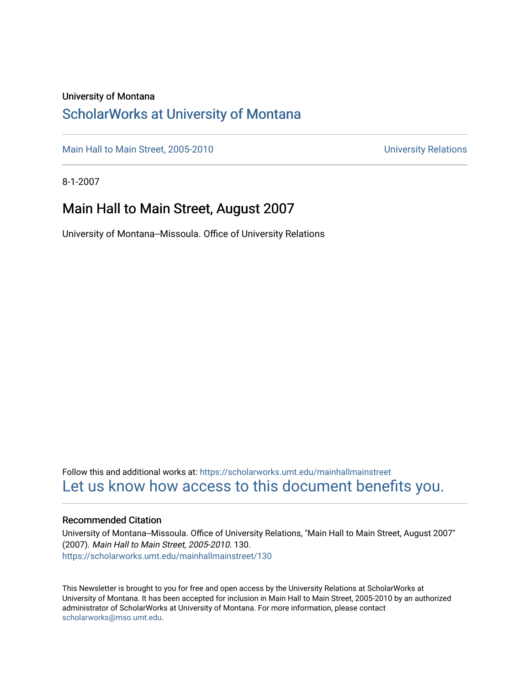#### University of Montana

### [ScholarWorks at University of Montana](https://scholarworks.umt.edu/)

[Main Hall to Main Street, 2005-2010](https://scholarworks.umt.edu/mainhallmainstreet) Main Hall to Main Street, 2005-2010

8-1-2007

### Main Hall to Main Street, August 2007

University of Montana--Missoula. Office of University Relations

Follow this and additional works at: [https://scholarworks.umt.edu/mainhallmainstreet](https://scholarworks.umt.edu/mainhallmainstreet?utm_source=scholarworks.umt.edu%2Fmainhallmainstreet%2F130&utm_medium=PDF&utm_campaign=PDFCoverPages) [Let us know how access to this document benefits you.](https://goo.gl/forms/s2rGfXOLzz71qgsB2) 

#### Recommended Citation

University of Montana--Missoula. Office of University Relations, "Main Hall to Main Street, August 2007" (2007). Main Hall to Main Street, 2005-2010. 130. [https://scholarworks.umt.edu/mainhallmainstreet/130](https://scholarworks.umt.edu/mainhallmainstreet/130?utm_source=scholarworks.umt.edu%2Fmainhallmainstreet%2F130&utm_medium=PDF&utm_campaign=PDFCoverPages)

This Newsletter is brought to you for free and open access by the University Relations at ScholarWorks at University of Montana. It has been accepted for inclusion in Main Hall to Main Street, 2005-2010 by an authorized administrator of ScholarWorks at University of Montana. For more information, please contact [scholarworks@mso.umt.edu.](mailto:scholarworks@mso.umt.edu)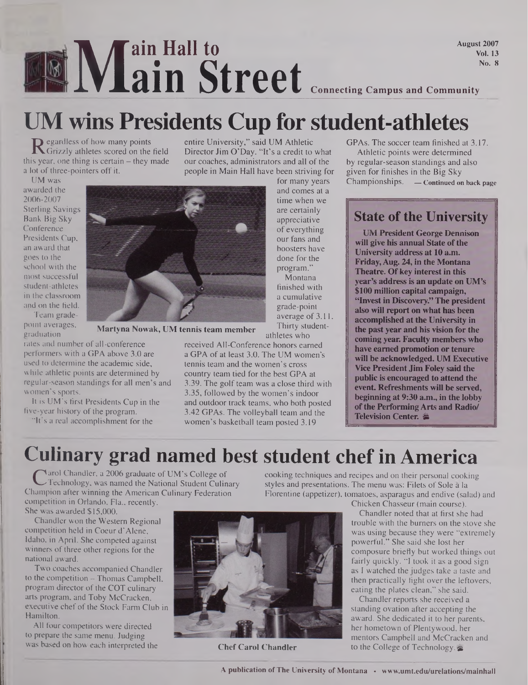### **M**<br>Mins Pr **ain Hall to ain Street Connecting Campus and Community** August 2007

# **UM wins Presidents Cup for student-athletes**

**R** egardless of how many points<br>is year, one thing is certain – they Grizzly athletes scored on the field this year, one thing is certain  $-$  they made a lot of three-pointers off it.

entire University," said UM Athletic Director Jim O'Day. "It's a credit to what our coaches, administrators and all of the people in Main Hall have been striving for

> for many years and comes at a time when we are certainly appreciative of everything our fans and boosters have done for the program." Montana finished with a cumulative grade-point average of 3.11. Thirty student

GPAs. The soccer team finished at 3.17. Athletic points were determined by regular-season standings and also given for finishes in the Big Sky Championships. **— Continued on back page**

Vol. 13 No. 8

UM was awarded the 2006-2007 Sterling Savings Bank Big Sky Conference Presidents Cup, an award that goes to the school with the most successful student-athletes in the classroom and on the field.

Team gradepoint averages,

graduation rales and number of all-conference performers with a GPA above 3.0 are

used to determine the academic side, while athletic points are determined by regular-season standings for all men's and women's sports.

It is UM's first Presidents Cup in the five-year history of the program.

"It's a real accomplishment for the



**Martyna Nowak, UM tennis team member**

athletes who received All-Conference honors earned a GPA of at least 3.0. The UM women's tennis team and the women's cross country team tied for the best GPA at 3.39. The golf team was a close third with 3.35, followed by the women's indoor and outdoor track teams, who both posted 3.42 GPAs. The volleyball team and the women's basketball team posted 3.19

**State ofthe University**

**UM President George Dennison will give his annual State ofthe University address at 10 a.m. Friday, Aug. 24, in the Montana Theatre. Ofkey interest in this year's addressis an update on UM's \$100 million capital campaign, "Invest in Discovery." The president also will report on what has been accomplished at the University in the past year and his vision for the coming year. Faculty members who have earned promotion Or tenure will be acknowledged. UM Executive Vice President Jim Foley said the public is encouraged to attend the event Refreshments will be served, beginning at 9:30 a.m., in the lobby ofthe Performing Arts and Radio/ Television Center. M**

### **Culinary grad named best student chef in America**

C<sup>V</sup>arol Chandler, a 2006 graduate of UM s College of<br>Technology, was named the National Student Culinary<br>nampion after winning the American Culinary Federation arol Chandler, a 2006 graduate of UM's College of Technology, was named the National Student Culinary competition in Orlando, Fla., recently. She was awarded \$15,000.

Chandler won the Western Regional competition held in Coeur d'Alene, Idaho, in April. She competed against winners of three other regions for the national award.

Two coaches accompanied Chandler to the competition - Thomas Campbell, program director of the COT culinary arts program, and Toby McCracken, executive chef of the Stock Farm Club in Hamilton.

All four competitors were directed to prepare the same menu. Judging was based on how each interpreted the **Chef Carol Chandler** 



cooking techniques and recipes and on their personal cooking styles and presentations. The menu was: Filets of Sole a la Florentine (appetizer), tomatoes, asparagus and endive (salad) and

Chicken Chasseur (main course).

Chandler noted that at first she had trouble with the burners on the stove she was using because they were "extremely powerful." She said she lost her composure briefly but worked things out fairly quickly. "I took it as a good sign as I watched the judges take a taste and then practically fight over the leftovers, eating the plates clean," she said.

Chandler reports she received a standing ovation after accepting the award. She dedicated it to her parents, her hometown of Plentywood, her mentors Campbell and McCracken and to the College of Technology.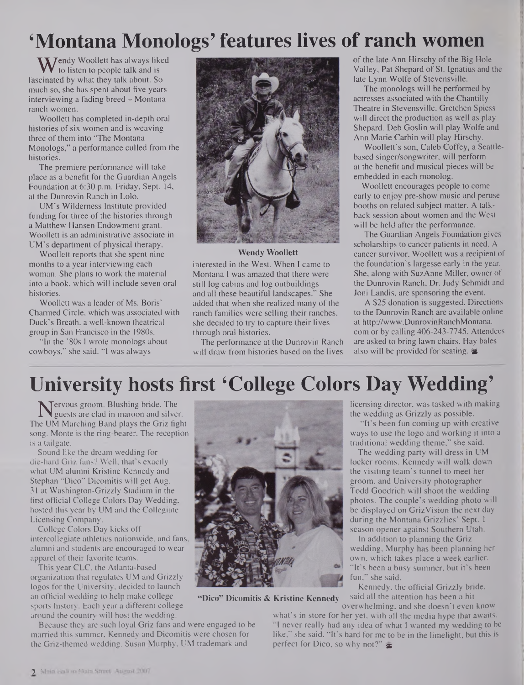## **'Montana Monologs' features lives of ranch women**

**W**endy Woollett has always liked<br>in to listen to people talk and is<br>scinated by what they talk about. So to listen to people talk and is fascinated by what they talk about. So much so, she has spent about five years interviewing a fading breed - Montana ranch women.

Woollett has completed in-depth oral histories of six women and is weaving three of them into "The Montana Monologs," a performance culled from the histories.

The premiere performance will take place as a benefit for the Guardian Angels Foundation at 6:30 p.m. Friday, Sept. 14, at the Dunrovin Ranch in Lolo.

UM's Wilderness Institute provided funding for three of the histories through a Matthew Hansen Endowment grant. Woollett is an administrative associate in UM's department of physical therapy.

Woollett reports that she spent nine months to a year interviewing each woman. She plans to work the material into a book, which will include seven oral histories.

Woollett was a leader of Ms. Boris' Charmed Circle, which was associated with Duck's Breath, a well-known theatrical group in San Francisco in the 1980s.

"In the '80s I wrote monologs about cowboys," she said. "I was always



#### **Wendy Woollett**

interested in the West. When I came to Montana I was amazed that there were still log cabins and log outbuildings and all these beautiful landscapes." She added that when she realized many of the ranch families were selling their ranches, she decided to try to capture their lives through oral histories.

The performance at the Dunrovin Ranch will draw from histories based on the lives

of the late Ann Hirschy of the Big Hole Valley, Pat Shepard of St. Ignatius and the late Lynn Wolfe of Stevensville.

The monologs will be performed by actresses associated with the Chantilly Theatre in Stevensville. Gretchen Spiess will direct the production as well as play Shepard. Deb Goslin will play Wolfe and Ann Marie Carbin will play Hirschy.

Woollett's son, Caleb Coffey, a Seattlebased singer/songwriter, will perform at the benefit and musical pieces will be embedded in each monolog.

Woollett encourages people to come early to enjoy pre-show music and peruse booths on related subject matter. A talkback session about women and the West will be held after the performance.

The Guardian Angels Foundation gives scholarships to cancer patients in need. A cancer survivor, Woollett was a recipient of the foundation's largesse early in the year. She, along with SuzAnne Miller, owner of the Dunrovin Ranch, Dr. Judy Schmidt and Joni Landis, are sponsoring the event.

A \$25 donation is suggested. Directions to the Dunrovin Ranch are available online at <http://www.DunrovinRanchMontana>. com or by calling 406-243-7745. Attendees are asked to bring lawn chairs. Hay bales also will be provided for seating.  $\blacktriangleright$ 

## **University hosts first 'College Colors Day Wedding'**

**Nervous groom. Blushing bride. The guests are clad in maroon and silve**<br>le UM Marching Band plays the Griz fis guests are clad in maroon and silver. The UM Marching Band plays the Griz fight song. Monte is the ring-bearer. The reception is a tailgate.

Sound like the dream wedding for die-hard Griz fans? Well, that's exactly what UM alumni Kristine Kennedy and Stephan "Dico" Dicomitis will get Aug. 31 at Washington-Grizzly Stadium in the first official College Colors Day Wedding, hosted this year by UM and the Collegiate Licensing Company.

College Colors Day kicks off intercollegiate athletics nationwide, and fans, alumni and students are encouraged to wear apparel of their favorite teams.

This year CLC, the Atlanta-based organization that regulates UM and Grizzly logos for the University, decided to launch an official wedding to help make college sports history. Each year a different college around the country will host the wedding.

Because they are such loyal Griz fans and were engaged to be married this summer, Kennedy and Dicomitis were chosen for the Griz-themed wedding. Susan Murphy, UM trademark and



**"Dico" Dicomitis & Kristine Kennedy**

licensing director, was tasked with making the wedding as Grizzly as possible.

"It's been fun coming up with creative ways to use the logo and working it into a traditional wedding theme," she said.

The wedding party will dress in UM locker rooms. Kennedy will walk down the visiting team's tunnel to meet her groom, and University photographer Todd Goodrich will shoot the wedding photos. The couple's wedding photo will be displayed on GrizVision the next day during the Montana Grizzlies' Sept. <sup>1</sup> season opener against Southern Utah.

In addition to planning the Griz wedding, Murphy has been planning her own, which takes place a week earlier. "It's been a busy summer, but it's been fun," she said.

Kennedy, the official Grizzly bride, said all the attention has been a bit overwhelming, and she doesn't even know

what's in store for her yet, with all the media hype that awaits. "<sup>1</sup> never really had any idea of what I wanted my wedding to be like," she said. "It's hard for me to be in the limelight, but this is perfect for Dico, so why not?"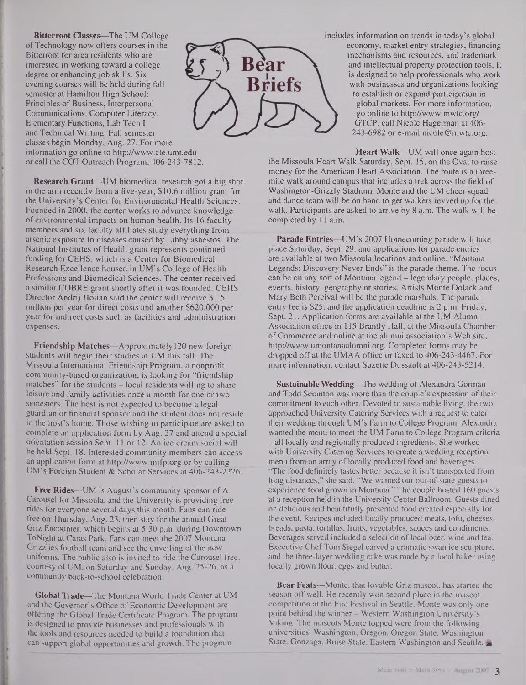**Bitterroot Classes—**The UM College ofTechnology now offers courses in the Bitterroot for area residents who are interested in working toward a college degree or enhancing job skills. Six evening courses will be held during fall semester at Hamilton High School: Principles of Business, Interpersonal Communications, Computer Literacy, Elementary Functions, Lab Tech I and Technical Writing. Fall semester classes begin Monday, Aug. 27. For more information go online to <http://www.cte.umt.edu> or call the COT Outreach Program, 406-243-7812.

**Research Grant—UM** biomedical research got a big shot in the arm recently from a five-year, \$10.6 million grant for the University's Center for Environmental Health Sciences. Founded in 2000, the center works to advance knowledge of environmental impacts on human health. Its 16 faculty members and six faculty affiliates study everything from arsenic exposure to diseases caused by Libby asbestos. The National Institutes of Health grant represents continued funding for CEHS, which is a Center for Biomedical Research Excellence housed in UM's College of Health Professions and Biomedical Sciences. The center received a similar COBRE grant shortly after it was founded. CEHS Director Andrij Holian said the center will receive \$1.5 million per year for direct costs and another \$620,000 per year for indirect costs such as facilities and administration expenses.

**Friendship Matches—**Approximately 120 new foreign students will begin their studies at UM this fall. The Missoula International Friendship Program, a nonprofit community-based organization, is looking for "friendship matches" for the students – local residents willing to share leisure and family activities once a month for one or two semesters. The host is not expected to become a legal guardian or financial sponsor and the student does not reside in the host's home. Those wishing to participate are asked to complete an application form by Aug. 27 and attend a special orientation session Sept. 11 or 12. An ice cream social will be held Sept. 18. Interested community members can access an application form at <http://www.mifp.org> or by calling UM's Foreign Student & Scholar Services at 406-243-2226.

**Free Rides—**UM is August's community sponsor of A Carousel for Missoula, and the University is providing free rides for everyone several days this month. Fans can ride free on Thursday, Aug. 23, then stay for the annual Great Griz Encounter, which begins at 5:30 p.m. during Downtown ToNight at Caras Park. Fans can meet the 2007 Montana Grizzlies football team and see the unveiling of the new uniforms. The public also is invited to ride the Carousel free, courtesy of UM, on Saturday and Sunday, Aug. 25-26, as a community back-to-school celebration.

**Global Trade—**The Montana World Trade Center at UM and the Governor's Office of Economic Development are offering the Global Trade Certificate Program. The program is designed to provide businesses and professionals with the tools and resources needed to build a foundation that can support global opportunities and growth. The program



**Heart Walk—**UM will once again host the Missoula Heart Walk Saturday, Sept. 15, on the Oval to raise money for the American Heart Association. The route is a threemile walk around campus that includes a trek across the field of Washington-Grizzly Stadium. Monte and the UM cheer squad and dance team will be on hand to get walkers revved up for the walk. Participants are asked to arrive by 8 a.m. The walk will be completed by 11 a.m.

**Parade Entries—**UM's 2007 Homecoming parade will take place Saturday, Sept. 29, and applications for parade entries are available at two Missoula locations and online. "Montana Legends: Discovery Never Ends" is the parade theme. The focus can be on any sort of Montana legend - legendary people, places, events, history, geography or stories. Artists Monte Dolack and Mary Beth Percival will be the parade marshals. The parade entry fee is \$25, and the application deadline is 2 p.m. Friday, Sept. 21. Application forms are available at the UM Alumni Association office in 115 Brandy Hall, at the Missoula Chamber of Commerce and online at the alumni association's Web site, <http://www.umontanaalumni.org>. Completed forms may be dropped off at the UMAA office or faxed to 406-243-4467. For more information, contact Suzette Dussault at 406-243-5214.

**Sustainable Wedding—**The wedding of Alexandra Gorman and Todd Scranton was more than the couple's expression of their commitment to each other. Devoted to sustainable living, the two approached University Catering Services with a request to cater their wedding through UM's Farm to College Program. Alexandra wanted the menu to meet the UM Farm to College Program criteria - all locally and regionally produced ingredients. She worked with University Catering Services to create a wedding reception menu from an array of locally produced food and beverages. "The food definitely tastes better because it isn't transported from long distances," she said. "We wanted our out-of-state guests to experience food grown in Montana." The couple hosted 160 guests at a reception held in the University Center Ballroom. Guests dined on delicious and beautifully presented food created especially for the event. Recipes included locally produced meats, tofu, cheeses, breads, pasta, tortillas, fruits, vegetables, sauces and condiments. Beverages served included a selection of local beer, wine and tea. Executive Chef Tom Siegel carved a dramatic swan ice sculpture, and the three-layer wedding cake was made by a local baker using locally grown flour, eggs and butter.

**Bear Feats—**Monte, that lovable Griz mascot, has started the season off well. He recently won second place in the mascot competition at the Fire Festival in Seattle. Monte was only one point behind the winner — Western Washington University's Viking. The mascots Monte topped were from the following universities: Washington, Oregon, Oregon State, Washington State, Gonzaga, Boise State, Eastern Washington and Seattle.